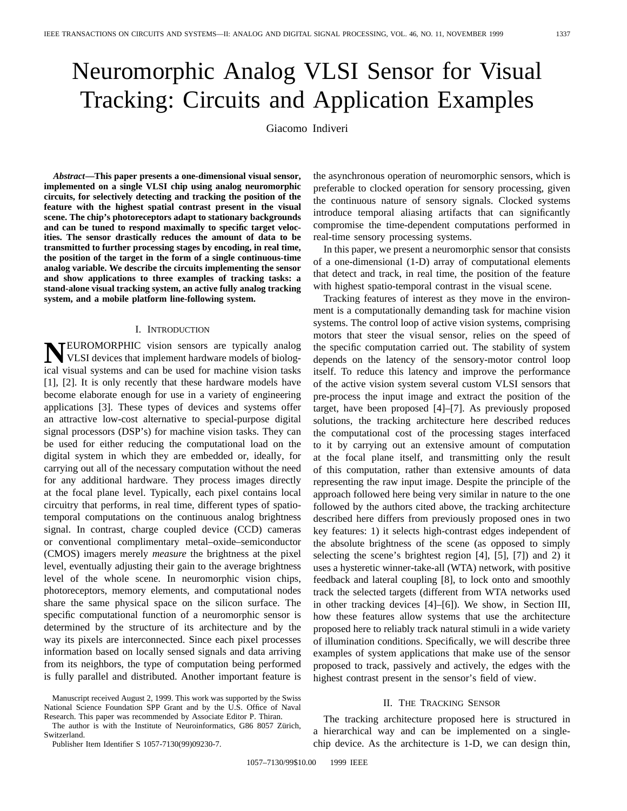# Neuromorphic Analog VLSI Sensor for Visual Tracking: Circuits and Application Examples

Giacomo Indiveri

*Abstract—***This paper presents a one-dimensional visual sensor, implemented on a single VLSI chip using analog neuromorphic circuits, for selectively detecting and tracking the position of the feature with the highest spatial contrast present in the visual scene. The chip's photoreceptors adapt to stationary backgrounds and can be tuned to respond maximally to specific target velocities. The sensor drastically reduces the amount of data to be transmitted to further processing stages by encoding, in real time, the position of the target in the form of a single continuous-time analog variable. We describe the circuits implementing the sensor and show applications to three examples of tracking tasks: a stand-alone visual tracking system, an active fully analog tracking system, and a mobile platform line-following system.**

### I. INTRODUCTION

**NEUROMORPHIC** vision sensors are typically analog<br>VLSI devices that implement hardware models of biolog-<br>isol visual systems and sen be used for maphine vision techn ical visual systems and can be used for machine vision tasks [1], [2]. It is only recently that these hardware models have become elaborate enough for use in a variety of engineering applications [3]. These types of devices and systems offer an attractive low-cost alternative to special-purpose digital signal processors (DSP's) for machine vision tasks. They can be used for either reducing the computational load on the digital system in which they are embedded or, ideally, for carrying out all of the necessary computation without the need for any additional hardware. They process images directly at the focal plane level. Typically, each pixel contains local circuitry that performs, in real time, different types of spatiotemporal computations on the continuous analog brightness signal. In contrast, charge coupled device (CCD) cameras or conventional complimentary metal–oxide–semiconductor (CMOS) imagers merely *measure* the brightness at the pixel level, eventually adjusting their gain to the average brightness level of the whole scene. In neuromorphic vision chips, photoreceptors, memory elements, and computational nodes share the same physical space on the silicon surface. The specific computational function of a neuromorphic sensor is determined by the structure of its architecture and by the way its pixels are interconnected. Since each pixel processes information based on locally sensed signals and data arriving from its neighbors, the type of computation being performed is fully parallel and distributed. Another important feature is

The author is with the Institute of Neuroinformatics, G86 8057 Zürich, Switzerland.

Publisher Item Identifier S 1057-7130(99)09230-7.

the asynchronous operation of neuromorphic sensors, which is preferable to clocked operation for sensory processing, given the continuous nature of sensory signals. Clocked systems introduce temporal aliasing artifacts that can significantly compromise the time-dependent computations performed in real-time sensory processing systems.

In this paper, we present a neuromorphic sensor that consists of a one-dimensional (1-D) array of computational elements that detect and track, in real time, the position of the feature with highest spatio-temporal contrast in the visual scene.

Tracking features of interest as they move in the environment is a computationally demanding task for machine vision systems. The control loop of active vision systems, comprising motors that steer the visual sensor, relies on the speed of the specific computation carried out. The stability of system depends on the latency of the sensory-motor control loop itself. To reduce this latency and improve the performance of the active vision system several custom VLSI sensors that pre-process the input image and extract the position of the target, have been proposed [4]–[7]. As previously proposed solutions, the tracking architecture here described reduces the computational cost of the processing stages interfaced to it by carrying out an extensive amount of computation at the focal plane itself, and transmitting only the result of this computation, rather than extensive amounts of data representing the raw input image. Despite the principle of the approach followed here being very similar in nature to the one followed by the authors cited above, the tracking architecture described here differs from previously proposed ones in two key features: 1) it selects high-contrast edges independent of the absolute brightness of the scene (as opposed to simply selecting the scene's brightest region [4], [5], [7]) and 2) it uses a hysteretic winner-take-all (WTA) network, with positive feedback and lateral coupling [8], to lock onto and smoothly track the selected targets (different from WTA networks used in other tracking devices [4]–[6]). We show, in Section III, how these features allow systems that use the architecture proposed here to reliably track natural stimuli in a wide variety of illumination conditions. Specifically, we will describe three examples of system applications that make use of the sensor proposed to track, passively and actively, the edges with the highest contrast present in the sensor's field of view.

# II. THE TRACKING SENSOR

The tracking architecture proposed here is structured in a hierarchical way and can be implemented on a singlechip device. As the architecture is 1-D, we can design thin,

Manuscript received August 2, 1999. This work was supported by the Swiss National Science Foundation SPP Grant and by the U.S. Office of Naval Research. This paper was recommended by Associate Editor P. Thiran.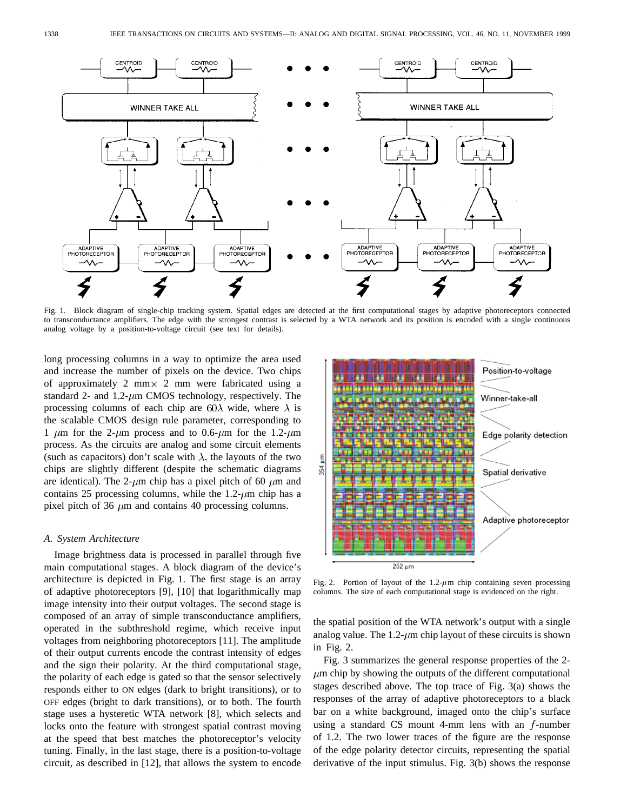

Fig. 1. Block diagram of single-chip tracking system. Spatial edges are detected at the first computational stages by adaptive photoreceptors connected to transconductance amplifiers. The edge with the strongest contrast is selected by a WTA network and its position is encoded with a single continuous analog voltage by a position-to-voltage circuit (see text for details).

long processing columns in a way to optimize the area used and increase the number of pixels on the device. Two chips of approximately 2 mm $\times$  2 mm were fabricated using a standard 2- and 1.2- $\mu$ m CMOS technology, respectively. The processing columns of each chip are 60 $\lambda$  wide, where  $\lambda$  is the scalable CMOS design rule parameter, corresponding to 1  $\mu$ m for the 2- $\mu$ m process and to 0.6- $\mu$ m for the 1.2- $\mu$ m process. As the circuits are analog and some circuit elements (such as capacitors) don't scale with  $\lambda$ , the layouts of the two chips are slightly different (despite the schematic diagrams are identical). The 2- $\mu$ m chip has a pixel pitch of 60  $\mu$ m and contains 25 processing columns, while the  $1.2-\mu m$  chip has a pixel pitch of 36  $\mu$ m and contains 40 processing columns.

## *A. System Architecture*

Image brightness data is processed in parallel through five main computational stages. A block diagram of the device's architecture is depicted in Fig. 1. The first stage is an array of adaptive photoreceptors [9], [10] that logarithmically map image intensity into their output voltages. The second stage is composed of an array of simple transconductance amplifiers, operated in the subthreshold regime, which receive input voltages from neighboring photoreceptors [11]. The amplitude of their output currents encode the contrast intensity of edges and the sign their polarity. At the third computational stage, the polarity of each edge is gated so that the sensor selectively responds either to ON edges (dark to bright transitions), or to OFF edges (bright to dark transitions), or to both. The fourth stage uses a hysteretic WTA network [8], which selects and locks onto the feature with strongest spatial contrast moving at the speed that best matches the photoreceptor's velocity tuning. Finally, in the last stage, there is a position-to-voltage circuit, as described in [12], that allows the system to encode



Fig. 2. Portion of layout of the  $1.2-\mu$ m chip containing seven processing columns. The size of each computational stage is evidenced on the right.

the spatial position of the WTA network's output with a single analog value. The  $1.2 \mu m$  chip layout of these circuits is shown in Fig. 2.

Fig. 3 summarizes the general response properties of the 2-  $\mu$ m chip by showing the outputs of the different computational stages described above. The top trace of Fig. 3(a) shows the responses of the array of adaptive photoreceptors to a black bar on a white background, imaged onto the chip's surface using a standard CS mount 4-mm lens with an  $f$ -number of 1.2. The two lower traces of the figure are the response of the edge polarity detector circuits, representing the spatial derivative of the input stimulus. Fig. 3(b) shows the response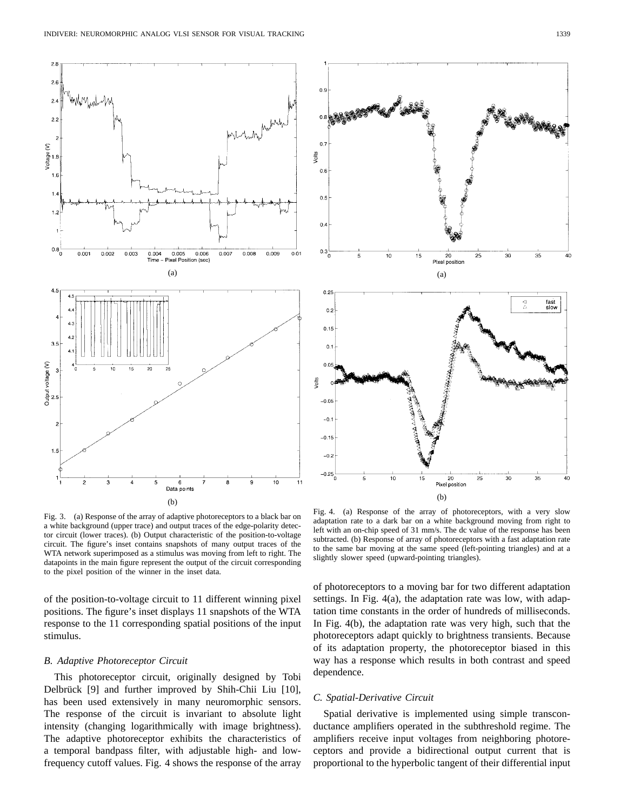



Fig. 3. (a) Response of the array of adaptive photoreceptors to a black bar on a white background (upper trace) and output traces of the edge-polarity detector circuit (lower traces). (b) Output characteristic of the position-to-voltage circuit. The figure's inset contains snapshots of many output traces of the WTA network superimposed as a stimulus was moving from left to right. The datapoints in the main figure represent the output of the circuit corresponding to the pixel position of the winner in the inset data.

of the position-to-voltage circuit to 11 different winning pixel positions. The figure's inset displays 11 snapshots of the WTA response to the 11 corresponding spatial positions of the input stimulus.

#### *B. Adaptive Photoreceptor Circuit*

This photoreceptor circuit, originally designed by Tobi Delbrück [9] and further improved by Shih-Chii Liu [10], has been used extensively in many neuromorphic sensors. The response of the circuit is invariant to absolute light intensity (changing logarithmically with image brightness). The adaptive photoreceptor exhibits the characteristics of a temporal bandpass filter, with adjustable high- and lowfrequency cutoff values. Fig. 4 shows the response of the array

Fig. 4. (a) Response of the array of photoreceptors, with a very slow adaptation rate to a dark bar on a white background moving from right to left with an on-chip speed of 31 mm/s. The dc value of the response has been subtracted. (b) Response of array of photoreceptors with a fast adaptation rate to the same bar moving at the same speed (left-pointing triangles) and at a slightly slower speed (upward-pointing triangles).

of photoreceptors to a moving bar for two different adaptation settings. In Fig. 4(a), the adaptation rate was low, with adaptation time constants in the order of hundreds of milliseconds. In Fig. 4(b), the adaptation rate was very high, such that the photoreceptors adapt quickly to brightness transients. Because of its adaptation property, the photoreceptor biased in this way has a response which results in both contrast and speed dependence.

# *C. Spatial-Derivative Circuit*

Spatial derivative is implemented using simple transconductance amplifiers operated in the subthreshold regime. The amplifiers receive input voltages from neighboring photoreceptors and provide a bidirectional output current that is proportional to the hyperbolic tangent of their differential input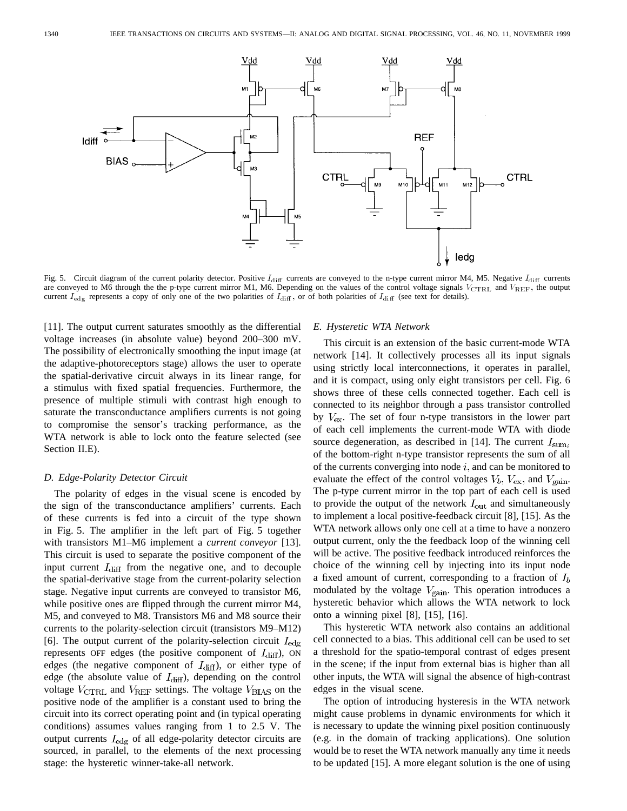

Fig. 5. Circuit diagram of the current polarity detector. Positive  $I_{\text{diff}}$  currents are conveyed to the n-type current mirror M4, M5. Negative  $I_{\text{diff}}$  currents are conveyed to M6 through the the p-type current mirror M1, M6. Depending on the values of the control voltage signals  $V_{\text{CTRL}}$  and  $V_{\text{REF}}$ , the output current  $I_{\text{edg}}$  represents a copy of only one of the two polarities of  $I_{\text{diff}}$ , or of both polarities of  $I_{\text{diff}}$  (see text for details).

[11]. The output current saturates smoothly as the differential voltage increases (in absolute value) beyond 200–300 mV. The possibility of electronically smoothing the input image (at the adaptive-photoreceptors stage) allows the user to operate the spatial-derivative circuit always in its linear range, for a stimulus with fixed spatial frequencies. Furthermore, the presence of multiple stimuli with contrast high enough to saturate the transconductance amplifiers currents is not going to compromise the sensor's tracking performance, as the WTA network is able to lock onto the feature selected (see Section II.E).

### *D. Edge-Polarity Detector Circuit*

The polarity of edges in the visual scene is encoded by the sign of the transconductance amplifiers' currents. Each of these currents is fed into a circuit of the type shown in Fig. 5. The amplifier in the left part of Fig. 5 together with transistors M1–M6 implement a *current conveyor* [13]. This circuit is used to separate the positive component of the input current  $I_{\text{diff}}$  from the negative one, and to decouple the spatial-derivative stage from the current-polarity selection stage. Negative input currents are conveyed to transistor M6, while positive ones are flipped through the current mirror M4, M5, and conveyed to M8. Transistors M6 and M8 source their currents to the polarity-selection circuit (transistors M9–M12) [6]. The output current of the polarity-selection circuit  $I_{\text{edge}}$ represents OFF edges (the positive component of  $I_{\text{diff}}$ ), ON edges (the negative component of  $I_{\text{diff}}$ ), or either type of edge (the absolute value of  $I_{\text{diff}}$ ), depending on the control voltage  $V_{\text{CTRL}}$  and  $V_{\text{REF}}$  settings. The voltage  $V_{\text{BIAS}}$  on the positive node of the amplifier is a constant used to bring the circuit into its correct operating point and (in typical operating conditions) assumes values ranging from 1 to 2.5 V. The output currents  $I_{\text{edg}}$  of all edge-polarity detector circuits are sourced, in parallel, to the elements of the next processing stage: the hysteretic winner-take-all network.

# *E. Hysteretic WTA Network*

This circuit is an extension of the basic current-mode WTA network [14]. It collectively processes all its input signals using strictly local interconnections, it operates in parallel, and it is compact, using only eight transistors per cell. Fig. 6 shows three of these cells connected together. Each cell is connected to its neighbor through a pass transistor controlled by  $V_{\text{ex}}$ . The set of four n-type transistors in the lower part of each cell implements the current-mode WTA with diode source degeneration, as described in [14]. The current  $I_{\text{sum}}$ . of the bottom-right n-type transistor represents the sum of all of the currents converging into node  $i$ , and can be monitored to evaluate the effect of the control voltages  $V_b$ ,  $V_{ex}$ , and  $V_{gain}$ . The p-type current mirror in the top part of each cell is used to provide the output of the network  $I_{\text{out}}$  and simultaneously to implement a local positive-feedback circuit [8], [15]. As the WTA network allows only one cell at a time to have a nonzero output current, only the the feedback loop of the winning cell will be active. The positive feedback introduced reinforces the choice of the winning cell by injecting into its input node a fixed amount of current, corresponding to a fraction of  $I_b$ modulated by the voltage  $V_{\text{gain}}$ . This operation introduces a hysteretic behavior which allows the WTA network to lock onto a winning pixel [8], [15], [16].

This hysteretic WTA network also contains an additional cell connected to a bias. This additional cell can be used to set a threshold for the spatio-temporal contrast of edges present in the scene; if the input from external bias is higher than all other inputs, the WTA will signal the absence of high-contrast edges in the visual scene.

The option of introducing hysteresis in the WTA network might cause problems in dynamic environments for which it is necessary to update the winning pixel position continuously (e.g. in the domain of tracking applications). One solution would be to reset the WTA network manually any time it needs to be updated [15]. A more elegant solution is the one of using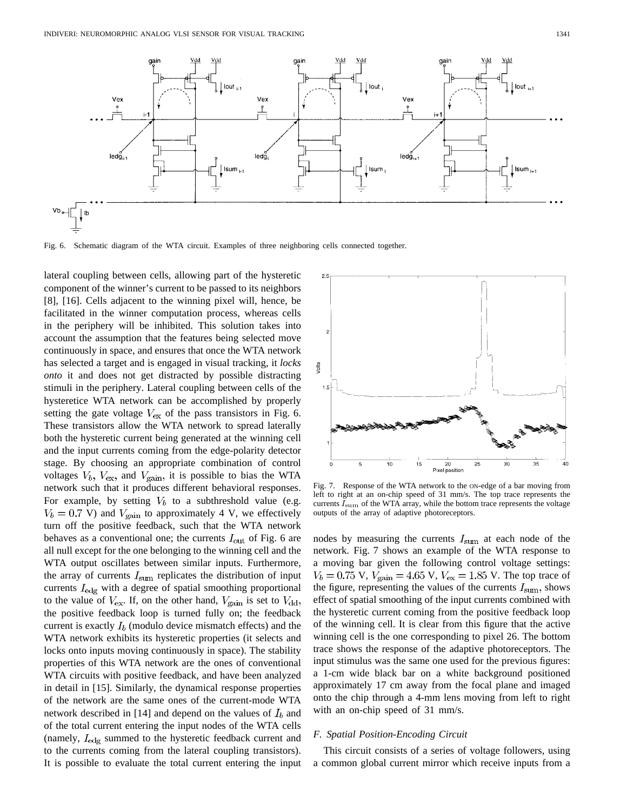

Fig. 6. Schematic diagram of the WTA circuit. Examples of three neighboring cells connected together.

lateral coupling between cells, allowing part of the hysteretic component of the winner's current to be passed to its neighbors [8], [16]. Cells adjacent to the winning pixel will, hence, be facilitated in the winner computation process, whereas cells in the periphery will be inhibited. This solution takes into account the assumption that the features being selected move continuously in space, and ensures that once the WTA network has selected a target and is engaged in visual tracking, it *locks onto* it and does not get distracted by possible distracting stimuli in the periphery. Lateral coupling between cells of the hysteretice WTA network can be accomplished by properly setting the gate voltage  $V_{\text{ex}}$  of the pass transistors in Fig. 6. These transistors allow the WTA network to spread laterally both the hysteretic current being generated at the winning cell and the input currents coming from the edge-polarity detector stage. By choosing an appropriate combination of control voltages  $V_b$ ,  $V_{\text{ex}}$ , and  $V_{\text{gain}}$ , it is possible to bias the WTA network such that it produces different behavioral responses. For example, by setting  $V<sub>b</sub>$  to a subthreshold value (e.g.  $V_b = 0.7$  V) and  $V_{\text{gain}}$  to approximately 4 V, we effectively turn off the positive feedback, such that the WTA network behaves as a conventional one; the currents  $I_{\text{out}}$  of Fig. 6 are all null except for the one belonging to the winning cell and the WTA output oscillates between similar inputs. Furthermore, the array of currents  $I_{\text{sum}}$  replicates the distribution of input currents  $I_{\text{edg}}$  with a degree of spatial smoothing proportional to the value of  $V_{\text{ex}}$ . If, on the other hand,  $V_{\text{gain}}$  is set to  $V_{\text{dd}}$ , the positive feedback loop is turned fully on; the feedback current is exactly  $I<sub>b</sub>$  (modulo device mismatch effects) and the WTA network exhibits its hysteretic properties (it selects and locks onto inputs moving continuously in space). The stability properties of this WTA network are the ones of conventional WTA circuits with positive feedback, and have been analyzed in detail in [15]. Similarly, the dynamical response properties of the network are the same ones of the current-mode WTA network described in [14] and depend on the values of  $I<sub>b</sub>$  and of the total current entering the input nodes of the WTA cells (namely,  $I_{\text{edge}}$  summed to the hysteretic feedback current and to the currents coming from the lateral coupling transistors). It is possible to evaluate the total current entering the input



Fig. 7. Response of the WTA network to the ON-edge of a bar moving from left to right at an on-chip speed of 31 mm/s. The top trace represents the currents  $I_{\text{sum}}$  of the WTA array, while the bottom trace represents the voltage outputs of the array of adaptive photoreceptors.

nodes by measuring the currents  $I_{\text{sum}}$  at each node of the network. Fig. 7 shows an example of the WTA response to a moving bar given the following control voltage settings:  $V_b = 0.75$  V,  $V_{\text{gain}} = 4.65$  V,  $V_{\text{ex}} = 1.85$  V. The top trace of the figure, representing the values of the currents  $I_{\text{sum}}$ , shows effect of spatial smoothing of the input currents combined with the hysteretic current coming from the positive feedback loop of the winning cell. It is clear from this figure that the active winning cell is the one corresponding to pixel 26. The bottom trace shows the response of the adaptive photoreceptors. The input stimulus was the same one used for the previous figures: a 1-cm wide black bar on a white background positioned approximately 17 cm away from the focal plane and imaged onto the chip through a 4-mm lens moving from left to right with an on-chip speed of 31 mm/s.

## *F. Spatial Position-Encoding Circuit*

This circuit consists of a series of voltage followers, using a common global current mirror which receive inputs from a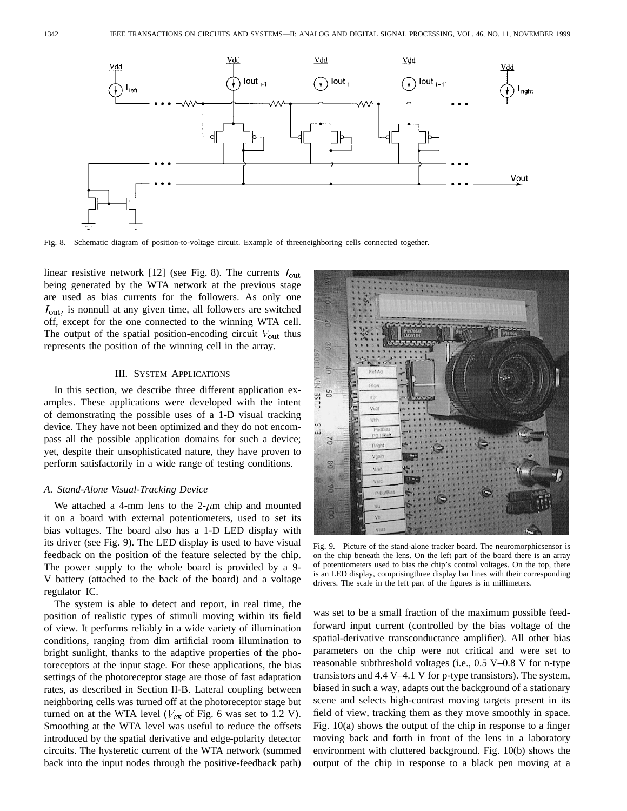

Fig. 8. Schematic diagram of position-to-voltage circuit. Example of threeneighboring cells connected together.

linear resistive network [12] (see Fig. 8). The currents  $I_{\text{out}}$ being generated by the WTA network at the previous stage are used as bias currents for the followers. As only one  $I_{\text{out}_i}$  is nonnull at any given time, all followers are switched off, except for the one connected to the winning WTA cell. The output of the spatial position-encoding circuit  $V_{\text{out}}$  thus represents the position of the winning cell in the array.

## III. SYSTEM APPLICATIONS

In this section, we describe three different application examples. These applications were developed with the intent of demonstrating the possible uses of a 1-D visual tracking device. They have not been optimized and they do not encompass all the possible application domains for such a device; yet, despite their unsophisticated nature, they have proven to perform satisfactorily in a wide range of testing conditions.

## *A. Stand-Alone Visual-Tracking Device*

We attached a 4-mm lens to the  $2-\mu m$  chip and mounted it on a board with external potentiometers, used to set its bias voltages. The board also has a 1-D LED display with its driver (see Fig. 9). The LED display is used to have visual feedback on the position of the feature selected by the chip. The power supply to the whole board is provided by a 9- V battery (attached to the back of the board) and a voltage regulator IC.

The system is able to detect and report, in real time, the position of realistic types of stimuli moving within its field of view. It performs reliably in a wide variety of illumination conditions, ranging from dim artificial room illumination to bright sunlight, thanks to the adaptive properties of the photoreceptors at the input stage. For these applications, the bias settings of the photoreceptor stage are those of fast adaptation rates, as described in Section II-B. Lateral coupling between neighboring cells was turned off at the photoreceptor stage but turned on at the WTA level ( $V_{\text{ex}}$  of Fig. 6 was set to 1.2 V). Smoothing at the WTA level was useful to reduce the offsets introduced by the spatial derivative and edge-polarity detector circuits. The hysteretic current of the WTA network (summed back into the input nodes through the positive-feedback path)



Fig. 9. Picture of the stand-alone tracker board. The neuromorphicsensor is on the chip beneath the lens. On the left part of the board there is an array of potentiometers used to bias the chip's control voltages. On the top, there is an LED display, comprisingthree display bar lines with their corresponding drivers. The scale in the left part of the figures is in millimeters.

was set to be a small fraction of the maximum possible feedforward input current (controlled by the bias voltage of the spatial-derivative transconductance amplifier). All other bias parameters on the chip were not critical and were set to reasonable subthreshold voltages (i.e., 0.5 V–0.8 V for n-type transistors and 4.4 V–4.1 V for p-type transistors). The system, biased in such a way, adapts out the background of a stationary scene and selects high-contrast moving targets present in its field of view, tracking them as they move smoothly in space. Fig. 10(a) shows the output of the chip in response to a finger moving back and forth in front of the lens in a laboratory environment with cluttered background. Fig. 10(b) shows the output of the chip in response to a black pen moving at a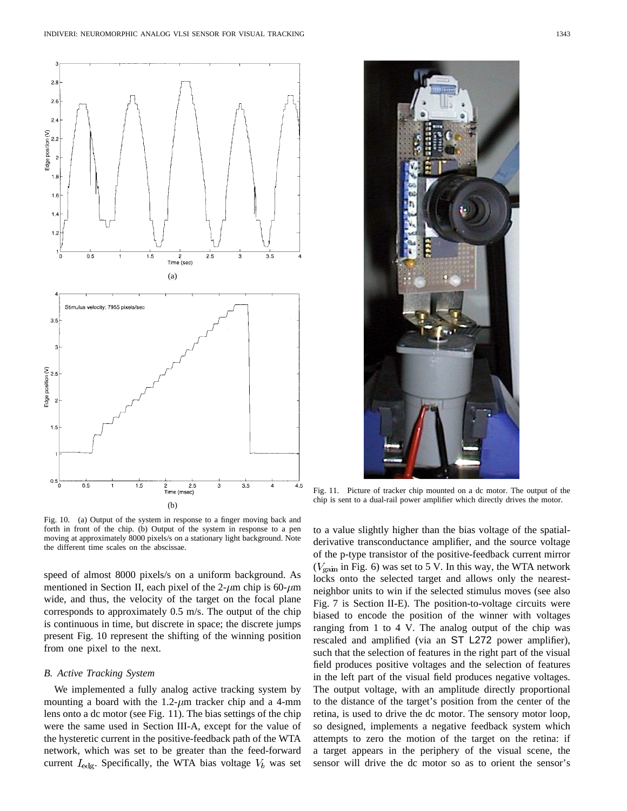

Fig. 10. (a) Output of the system in response to a finger moving back and forth in front of the chip. (b) Output of the system in response to a pen moving at approximately 8000 pixels/s on a stationary light background. Note the different time scales on the abscissae.

speed of almost 8000 pixels/s on a uniform background. As mentioned in Section II, each pixel of the 2- $\mu$ m chip is 60- $\mu$ m wide, and thus, the velocity of the target on the focal plane corresponds to approximately 0.5 m/s. The output of the chip is continuous in time, but discrete in space; the discrete jumps present Fig. 10 represent the shifting of the winning position from one pixel to the next.

#### *B. Active Tracking System*

We implemented a fully analog active tracking system by mounting a board with the  $1.2\text{-}\mu\text{m}$  tracker chip and a 4-mm lens onto a dc motor (see Fig. 11). The bias settings of the chip were the same used in Section III-A, except for the value of the hysteretic current in the positive-feedback path of the WTA network, which was set to be greater than the feed-forward current  $I_{\text{edge}}$ . Specifically, the WTA bias voltage  $V_b$  was set

Fig. 11. Picture of tracker chip mounted on a dc motor. The output of the chip is sent to a dual-rail power amplifier which directly drives the motor.

to a value slightly higher than the bias voltage of the spatialderivative transconductance amplifier, and the source voltage of the p-type transistor of the positive-feedback current mirror ( $V_{\text{gain}}$  in Fig. 6) was set to 5 V. In this way, the WTA network locks onto the selected target and allows only the nearestneighbor units to win if the selected stimulus moves (see also Fig. 7 is Section II-E). The position-to-voltage circuits were biased to encode the position of the winner with voltages ranging from 1 to 4 V. The analog output of the chip was rescaled and amplified (via an ST L272 power amplifier), such that the selection of features in the right part of the visual field produces positive voltages and the selection of features in the left part of the visual field produces negative voltages. The output voltage, with an amplitude directly proportional to the distance of the target's position from the center of the retina, is used to drive the dc motor. The sensory motor loop, so designed, implements a negative feedback system which attempts to zero the motion of the target on the retina: if a target appears in the periphery of the visual scene, the sensor will drive the dc motor so as to orient the sensor's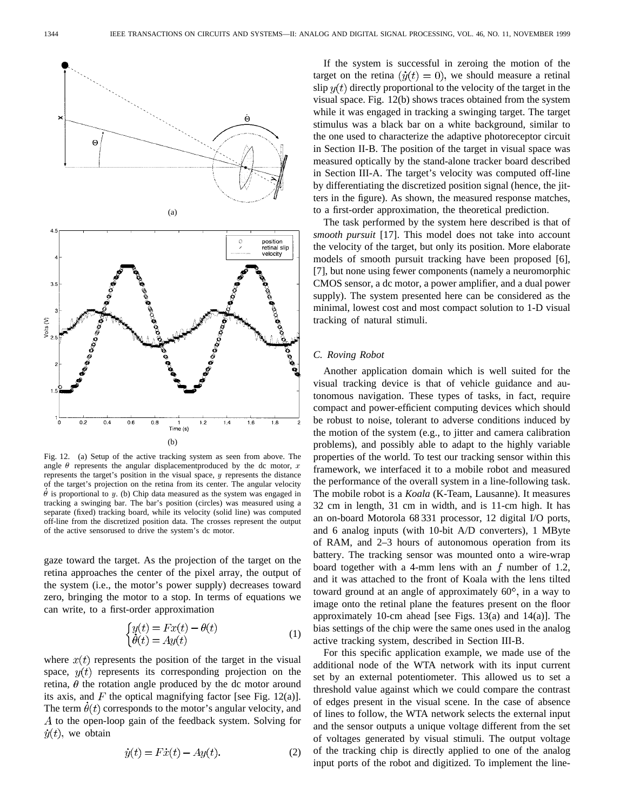

Fig. 12. (a) Setup of the active tracking system as seen from above. The angle  $\theta$  represents the angular displacementproduced by the dc motor, x represents the target's position in the visual space, y represents the distance of the target's projection on the retina from its center. The angular velocity  $\theta$  is proportional to y. (b) Chip data measured as the system was engaged in tracking a swinging bar. The bar's position (circles) was measured using a separate (fixed) tracking board, while its velocity (solid line) was computed off-line from the discretized position data. The crosses represent the output of the active sensorused to drive the system's dc motor.

gaze toward the target. As the projection of the target on the retina approaches the center of the pixel array, the output of the system (i.e., the motor's power supply) decreases toward zero, bringing the motor to a stop. In terms of equations we can write, to a first-order approximation

$$
\begin{cases}\ny(t) = Fx(t) - \theta(t) \\
\dot{\theta}(t) = Ay(t)\n\end{cases} \tag{1}
$$

where  $x(t)$  represents the position of the target in the visual space,  $y(t)$  represents its corresponding projection on the retina,  $\theta$  the rotation angle produced by the dc motor around its axis, and  $F$  the optical magnifying factor [see Fig. 12(a)]. The term  $\theta(t)$  corresponds to the motor's angular velocity, and A to the open-loop gain of the feedback system. Solving for  $\dot{y}(t)$ , we obtain

$$
\dot{y}(t) = F\dot{x}(t) - Ay(t). \tag{2}
$$

If the system is successful in zeroing the motion of the target on the retina  $(\dot{y}(t) = 0)$ , we should measure a retinal slip  $y(t)$  directly proportional to the velocity of the target in the visual space. Fig. 12(b) shows traces obtained from the system while it was engaged in tracking a swinging target. The target stimulus was a black bar on a white background, similar to the one used to characterize the adaptive photoreceptor circuit in Section II-B. The position of the target in visual space was measured optically by the stand-alone tracker board described in Section III-A. The target's velocity was computed off-line by differentiating the discretized position signal (hence, the jitters in the figure). As shown, the measured response matches, to a first-order approximation, the theoretical prediction.

The task performed by the system here described is that of *smooth pursuit* [17]. This model does not take into account the velocity of the target, but only its position. More elaborate models of smooth pursuit tracking have been proposed [6], [7], but none using fewer components (namely a neuromorphic CMOS sensor, a dc motor, a power amplifier, and a dual power supply). The system presented here can be considered as the minimal, lowest cost and most compact solution to 1-D visual tracking of natural stimuli.

## *C. Roving Robot*

Another application domain which is well suited for the visual tracking device is that of vehicle guidance and autonomous navigation. These types of tasks, in fact, require compact and power-efficient computing devices which should be robust to noise, tolerant to adverse conditions induced by the motion of the system (e.g., to jitter and camera calibration problems), and possibly able to adapt to the highly variable properties of the world. To test our tracking sensor within this framework, we interfaced it to a mobile robot and measured the performance of the overall system in a line-following task. The mobile robot is a *Koala* (K-Team, Lausanne). It measures 32 cm in length, 31 cm in width, and is 11-cm high. It has an on-board Motorola 68 331 processor, 12 digital I/O ports, and 6 analog inputs (with 10-bit A/D converters), 1 MByte of RAM, and 2–3 hours of autonomous operation from its battery. The tracking sensor was mounted onto a wire-wrap board together with a 4-mm lens with an  $f$  number of 1.2, and it was attached to the front of Koala with the lens tilted toward ground at an angle of approximately  $60^\circ$ , in a way to image onto the retinal plane the features present on the floor approximately 10-cm ahead [see Figs.  $13(a)$  and  $14(a)$ ]. The bias settings of the chip were the same ones used in the analog active tracking system, described in Section III-B.

For this specific application example, we made use of the additional node of the WTA network with its input current set by an external potentiometer. This allowed us to set a threshold value against which we could compare the contrast of edges present in the visual scene. In the case of absence of lines to follow, the WTA network selects the external input and the sensor outputs a unique voltage different from the set of voltages generated by visual stimuli. The output voltage of the tracking chip is directly applied to one of the analog input ports of the robot and digitized. To implement the line-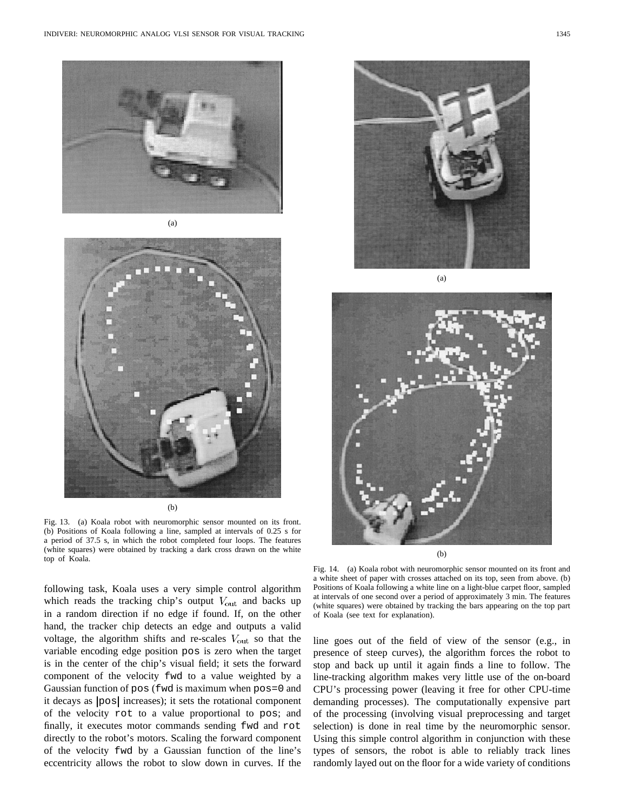



Fig. 13. (a) Koala robot with neuromorphic sensor mounted on its front. (b) Positions of Koala following a line, sampled at intervals of 0.25 s for a period of 37.5 s, in which the robot completed four loops. The features (white squares) were obtained by tracking a dark cross drawn on the white top of Koala.

following task, Koala uses a very simple control algorithm which reads the tracking chip's output  $V_{\text{out}}$  and backs up in a random direction if no edge if found. If, on the other hand, the tracker chip detects an edge and outputs a valid voltage, the algorithm shifts and re-scales  $V_{\text{out}}$  so that the variable encoding edge position pos is zero when the target is in the center of the chip's visual field; it sets the forward component of the velocity fwd to a value weighted by a Gaussian function of pos (fwd is maximum when pos=0 and it decays as  $|pos|$  increases); it sets the rotational component of the velocity rot to a value proportional to pos; and finally, it executes motor commands sending fwd and rot directly to the robot's motors. Scaling the forward component of the velocity fwd by a Gaussian function of the line's eccentricity allows the robot to slow down in curves. If the



(a)



(b)

Fig. 14. (a) Koala robot with neuromorphic sensor mounted on its front and a white sheet of paper with crosses attached on its top, seen from above. (b) Positions of Koala following a white line on a light-blue carpet floor, sampled at intervals of one second over a period of approximately 3 min. The features (white squares) were obtained by tracking the bars appearing on the top part of Koala (see text for explanation).

line goes out of the field of view of the sensor (e.g., in presence of steep curves), the algorithm forces the robot to stop and back up until it again finds a line to follow. The line-tracking algorithm makes very little use of the on-board CPU's processing power (leaving it free for other CPU-time demanding processes). The computationally expensive part of the processing (involving visual preprocessing and target selection) is done in real time by the neuromorphic sensor. Using this simple control algorithm in conjunction with these types of sensors, the robot is able to reliably track lines randomly layed out on the floor for a wide variety of conditions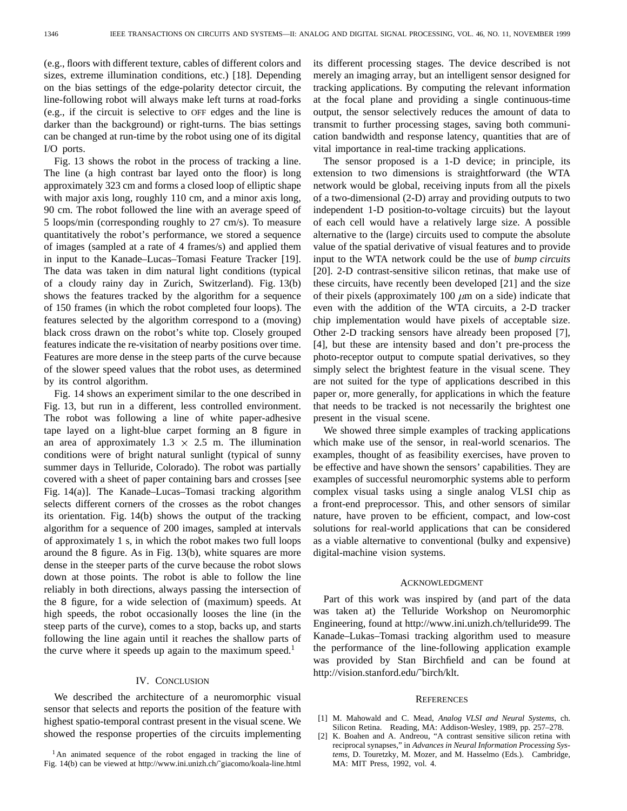(e.g., floors with different texture, cables of different colors and sizes, extreme illumination conditions, etc.) [18]. Depending on the bias settings of the edge-polarity detector circuit, the line-following robot will always make left turns at road-forks (e.g., if the circuit is selective to OFF edges and the line is darker than the background) or right-turns. The bias settings can be changed at run-time by the robot using one of its digital I/O ports.

Fig. 13 shows the robot in the process of tracking a line. The line (a high contrast bar layed onto the floor) is long approximately 323 cm and forms a closed loop of elliptic shape with major axis long, roughly 110 cm, and a minor axis long, 90 cm. The robot followed the line with an average speed of 5 loops/min (corresponding roughly to 27 cm/s). To measure quantitatively the robot's performance, we stored a sequence of images (sampled at a rate of 4 frames/s) and applied them in input to the Kanade–Lucas–Tomasi Feature Tracker [19]. The data was taken in dim natural light conditions (typical of a cloudy rainy day in Zurich, Switzerland). Fig. 13(b) shows the features tracked by the algorithm for a sequence of 150 frames (in which the robot completed four loops). The features selected by the algorithm correspond to a (moving) black cross drawn on the robot's white top. Closely grouped features indicate the re-visitation of nearby positions over time. Features are more dense in the steep parts of the curve because of the slower speed values that the robot uses, as determined by its control algorithm.

Fig. 14 shows an experiment similar to the one described in Fig. 13, but run in a different, less controlled environment. The robot was following a line of white paper-adhesive tape layed on a light-blue carpet forming an 8 figure in an area of approximately  $1.3 \times 2.5$  m. The illumination conditions were of bright natural sunlight (typical of sunny summer days in Telluride, Colorado). The robot was partially covered with a sheet of paper containing bars and crosses [see Fig. 14(a)]. The Kanade–Lucas–Tomasi tracking algorithm selects different corners of the crosses as the robot changes its orientation. Fig. 14(b) shows the output of the tracking algorithm for a sequence of 200 images, sampled at intervals of approximately 1 s, in which the robot makes two full loops around the 8 figure. As in Fig. 13(b), white squares are more dense in the steeper parts of the curve because the robot slows down at those points. The robot is able to follow the line reliably in both directions, always passing the intersection of the 8 figure, for a wide selection of (maximum) speeds. At high speeds, the robot occasionally looses the line (in the steep parts of the curve), comes to a stop, backs up, and starts following the line again until it reaches the shallow parts of the curve where it speeds up again to the maximum speed.<sup>1</sup>

### IV. CONCLUSION

We described the architecture of a neuromorphic visual sensor that selects and reports the position of the feature with highest spatio-temporal contrast present in the visual scene. We showed the response properties of the circuits implementing

its different processing stages. The device described is not merely an imaging array, but an intelligent sensor designed for tracking applications. By computing the relevant information at the focal plane and providing a single continuous-time output, the sensor selectively reduces the amount of data to transmit to further processing stages, saving both communication bandwidth and response latency, quantities that are of vital importance in real-time tracking applications.

The sensor proposed is a 1-D device; in principle, its extension to two dimensions is straightforward (the WTA network would be global, receiving inputs from all the pixels of a two-dimensional (2-D) array and providing outputs to two independent 1-D position-to-voltage circuits) but the layout of each cell would have a relatively large size. A possible alternative to the (large) circuits used to compute the absolute value of the spatial derivative of visual features and to provide input to the WTA network could be the use of *bump circuits* [20]. 2-D contrast-sensitive silicon retinas, that make use of these circuits, have recently been developed [21] and the size of their pixels (approximately 100  $\mu$ m on a side) indicate that even with the addition of the WTA circuits, a 2-D tracker chip implementation would have pixels of acceptable size. Other 2-D tracking sensors have already been proposed [7], [4], but these are intensity based and don't pre-process the photo-receptor output to compute spatial derivatives, so they simply select the brightest feature in the visual scene. They are not suited for the type of applications described in this paper or, more generally, for applications in which the feature that needs to be tracked is not necessarily the brightest one present in the visual scene.

We showed three simple examples of tracking applications which make use of the sensor, in real-world scenarios. The examples, thought of as feasibility exercises, have proven to be effective and have shown the sensors' capabilities. They are examples of successful neuromorphic systems able to perform complex visual tasks using a single analog VLSI chip as a front-end preprocessor. This, and other sensors of similar nature, have proven to be efficient, compact, and low-cost solutions for real-world applications that can be considered as a viable alternative to conventional (bulky and expensive) digital-machine vision systems.

#### ACKNOWLEDGMENT

Part of this work was inspired by (and part of the data was taken at) the Telluride Workshop on Neuromorphic Engineering, found at http://www.ini.unizh.ch/telluride99. The Kanade–Lukas–Tomasi tracking algorithm used to measure the performance of the line-following application example was provided by Stan Birchfield and can be found at http://vision.stanford.edu/˜birch/klt.

#### **REFERENCES**

- [1] M. Mahowald and C. Mead, *Analog VLSI and Neural Systems*, ch. Silicon Retina. Reading, MA: Addison-Wesley, 1989, pp. 257–278.
- [2] K. Boahen and A. Andreou, "A contrast sensitive silicon retina with reciprocal synapses," in *Advances in Neural Information Processing Systems*, D. Touretzky, M. Mozer, and M. Hasselmo (Eds.). Cambridge, MA: MIT Press, 1992, vol. 4.

<sup>&</sup>lt;sup>1</sup>An animated sequence of the robot engaged in tracking the line of Fig. 14(b) can be viewed at http://www.ini.unizh.ch/˜giacomo/koala-line.html